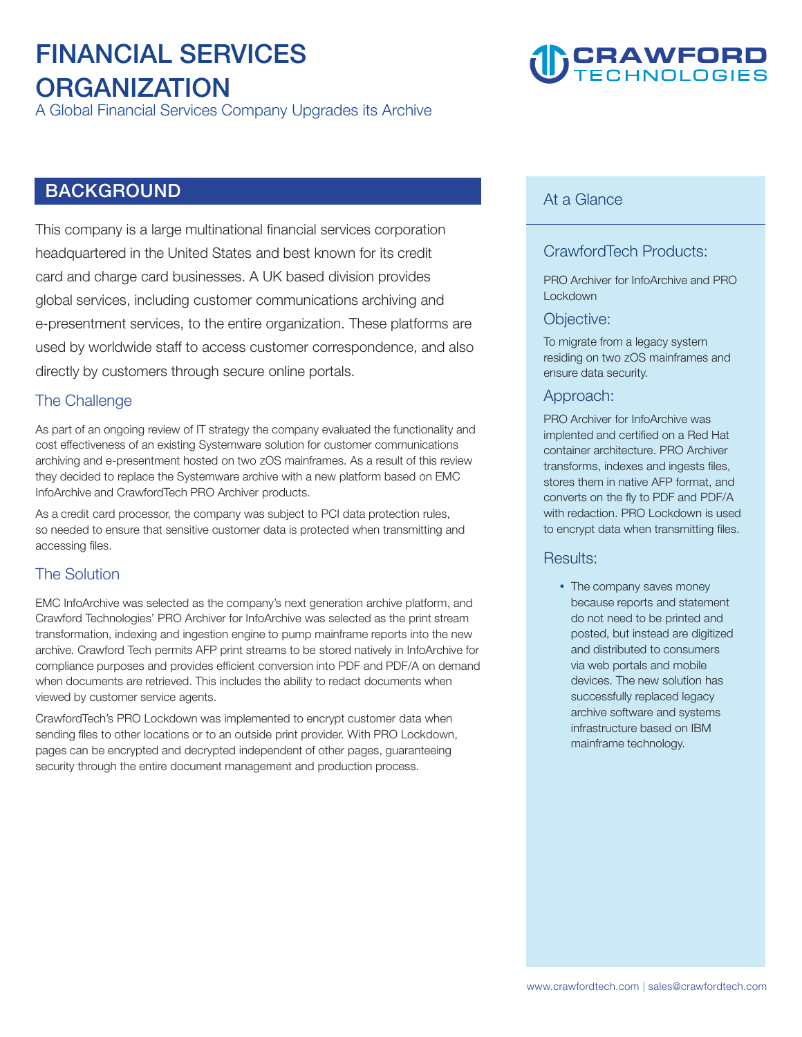# **FINANCIAL SERVICES ORGANIZATION**

**A Global Financial Services Company Upgrades its Archive**

# **BACKGROUND**

**This company is a large multinational financial services corporation headquartered in the United States and best known for its credit card and charge card businesses. A UK based division provides global services, including customer communications archiving and e-presentment services, to the entire organization. These platforms are used by worldwide staff to access customer correspondence, and also directly by customers through secure online portals.**

#### **The Challenge**

**As part of an ongoing review of IT strategy the company evaluated the functionality and cost effectiveness of an existing Systemware solution for customer communications archiving and e-presentment hosted on two zOS mainframes. As a result of this review they decided to replace the Systemware archive with a new platform based on EMC InfoArchive and CrawfordTech PRO Archiver products.** 

**As a credit card processor, the company was subject to PCI data protection rules, so needed to ensure that sensitive customer data is protected when transmitting and accessing files.** 

### **The Solution**

**EMC InfoArchive was selected as the company's next generation archive platform, and Crawford Technologies' PRO Archiver for InfoArchive was selected as the print stream transformation, indexing and ingestion engine to pump mainframe reports into the new archive. Crawford Tech permits AFP print streams to be stored natively in InfoArchive for compliance purposes and provides efficient conversion into PDF and PDF/A on demand when documents are retrieved. This includes the ability to redact documents when viewed by customer service agents.** 

**CrawfordTech's PRO Lockdown was implemented to encrypt customer data when sending files to other locations or to an outside print provider. With PRO Lockdown, pages can be encrypted and decrypted independent of other pages, guaranteeing security through the entire document management and production process.** 

# **CRAWFORD**

#### **At a Glance**

## **CrawfordTech Products:**

**PRO Archiver for InfoArchive and PRO Lockdown** 

#### **Objective:**

**To migrate from a legacy system residing on two zOS mainframes and ensure data security.** 

#### **Approach:**

**PRO Archiver for InfoArchive was implented and certified on a Red Hat container architecture. PRO Archiver transforms, indexes and ingests files, stores them in native AFP format, and converts on the fly to PDF and PDF/A with redaction. PRO Lockdown is used to encrypt data when transmitting files.** 

#### **Results:**

 **The company saves money because reports and statement do not need to be printed and posted, but instead are digitized and distributed to consumers via web portals and mobile devices. The new solution has successfully replaced legacy archive software and systems infrastructure based on IBM mainframe technology.**